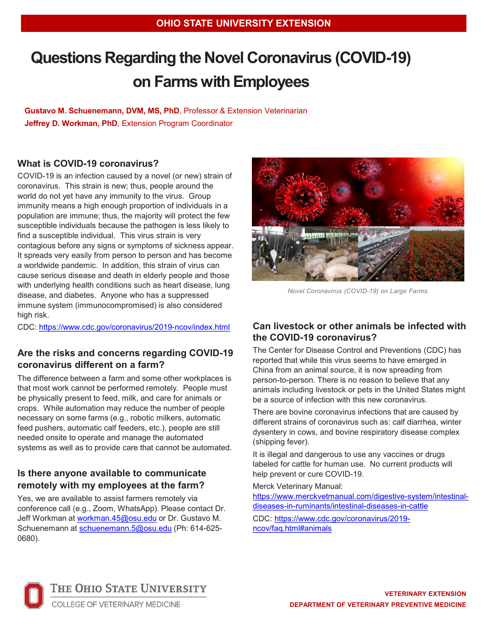# **Questions Regarding the Novel Coronavirus (COVID-19) on Farms with Employees**

**Gustavo M. Schuenemann, DVM, MS, PhD**, Professor & Extension Veterinarian **Jeffrey D. Workman, PhD**, Extension Program Coordinator

## **What is COVID-19 coronavirus?**

COVID-19 is an infection caused by a novel (or new) strain of coronavirus. This strain is new; thus, people around the world do not yet have any immunity to the virus. Group immunity means a high enough proportion of individuals in a population are immune; thus, the majority will protect the few susceptible individuals because the pathogen is less likely to find a susceptible individual. This virus strain is very contagious before any signs or symptoms of sickness appear. It spreads very easily from person to person and has become a worldwide pandemic. In addition, this strain of virus can cause serious disease and death in elderly people and those with underlying health conditions such as heart disease, lung disease, and diabetes. Anyone who has a suppressed immune system (immunocompromised) is also considered high risk.

CDC:<https://www.cdc.gov/coronavirus/2019-ncov/index.html>

## **Are the risks and concerns regarding COVID-19 coronavirus different on a farm?**

The difference between a farm and some other workplaces is that most work cannot be performed remotely. People must be physically present to feed, milk, and care for animals or crops. While automation may reduce the number of people necessary on some farms (e.g., robotic milkers, automatic feed pushers, automatic calf feeders, etc.), people are still needed onsite to operate and manage the automated systems as well as to provide care that cannot be automated.

## **Is there anyone available to communicate remotely with my employees at the farm?**

Yes, we are available to assist farmers remotely via conference call (e.g., Zoom, WhatsApp). Please contact Dr. Jeff Workman at [workman.45@osu.edu](mailto:workman.45@osu.edu) or Dr. Gustavo M. Schuenemann at [schuenemann.5@osu.edu](mailto:schuenemann.5@osu.edu) (Ph: 614-625- 0680).



*Novel Coronavirus (COVID-19) on Large Farms.*

## **Can livestock or other animals be infected with the COVID-19 coronavirus?**

The Center for Disease Control and Preventions (CDC) has reported that while this virus seems to have emerged in China from an animal source, it is now spreading from person-to-person. There is no reason to believe that any animals including livestock or pets in the United States might be a source of infection with this new coronavirus.

There are bovine coronavirus infections that are caused by different strains of coronavirus such as: calf diarrhea, winter dysentery in cows, and bovine respiratory disease complex (shipping fever).

It is illegal and dangerous to use any vaccines or drugs labeled for cattle for human use. No current products will help prevent or cure COVID-19.

Merck Veterinary Manual:

[https://www.merckvetmanual.com/digestive-system/intestinal](https://www.merckvetmanual.com/digestive-system/intestinal-diseases-in-ruminants/intestinal-diseases-in-cattle)diseases-in-ruminants/intestinal-diseases-in-cattle

[CDC: https://www.cdc.gov/coronavirus/2019](https://www.cdc.gov/coronavirus/2019-ncov/faq.html#animals) ncov/faq.html#animals



THE OHIO STATE UNIVERSITY

COLLEGE OF VETERINARY MEDICINE